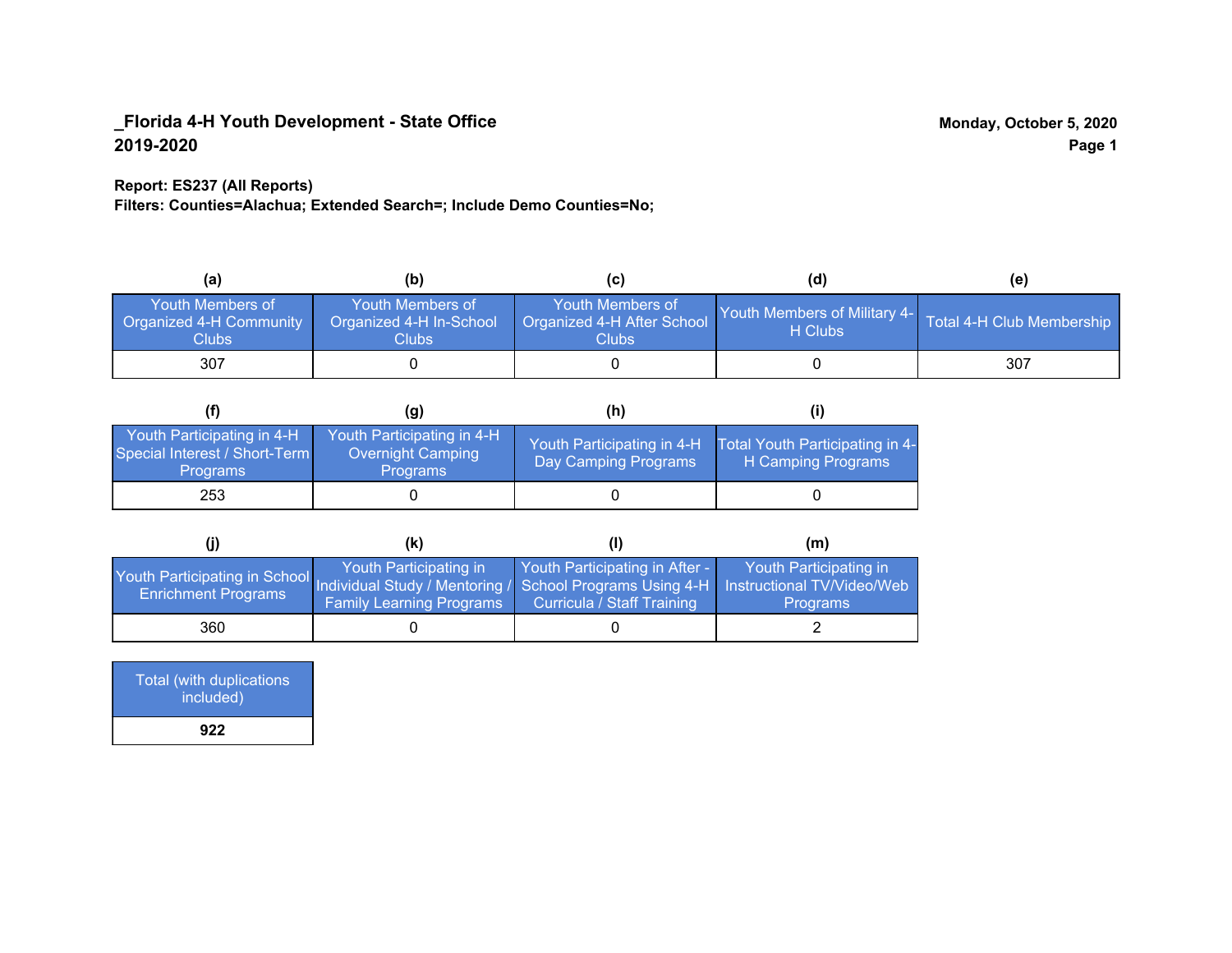## **Report: ES237 (All Reports)**

**Filters: Counties=Alachua; Extended Search=; Include Demo Counties=No;**

| (a)                                                                | (b)                                                  |                                                         | (d)                                     | (e)                       |
|--------------------------------------------------------------------|------------------------------------------------------|---------------------------------------------------------|-----------------------------------------|---------------------------|
| <b>Youth Members of</b><br><b>Organized 4-H Community</b><br>Clubs | Youth Members of<br>Organized 4-H In-School<br>Clubs | Youth Members of<br>Organized 4-H After School<br>Clubs | Youth Members of Military 4-<br>H Clubs | Total 4-H Club Membership |
| 307                                                                |                                                      |                                                         |                                         | 307                       |

|                                                                                | (g)                                                                | (h)                                                |                                                       |
|--------------------------------------------------------------------------------|--------------------------------------------------------------------|----------------------------------------------------|-------------------------------------------------------|
| Youth Participating in 4-H<br>Special Interest / Short-Term<br><b>Programs</b> | Youth Participating in 4-H<br>Overnight Camping<br><b>Programs</b> | Youth Participating in 4-H<br>Day Camping Programs | Total Youth Participating in 4-<br>H Camping Programs |
| 253                                                                            |                                                                    |                                                    |                                                       |

|                                                                                                                                                   | (K)                                                       |                                                                     | (m)                                       |
|---------------------------------------------------------------------------------------------------------------------------------------------------|-----------------------------------------------------------|---------------------------------------------------------------------|-------------------------------------------|
| Youth Participating in School Individual Study / Mentoring / School Programs Using 4-H   Instructional TV/Video/Web<br><b>Enrichment Programs</b> | Youth Participating in<br><b>Family Learning Programs</b> | Youth Participating in After -<br><b>Curricula / Staff Training</b> | Youth Participating in<br><b>Programs</b> |
| 360                                                                                                                                               |                                                           |                                                                     |                                           |

| Total (with duplications<br>included) |
|---------------------------------------|
| 922                                   |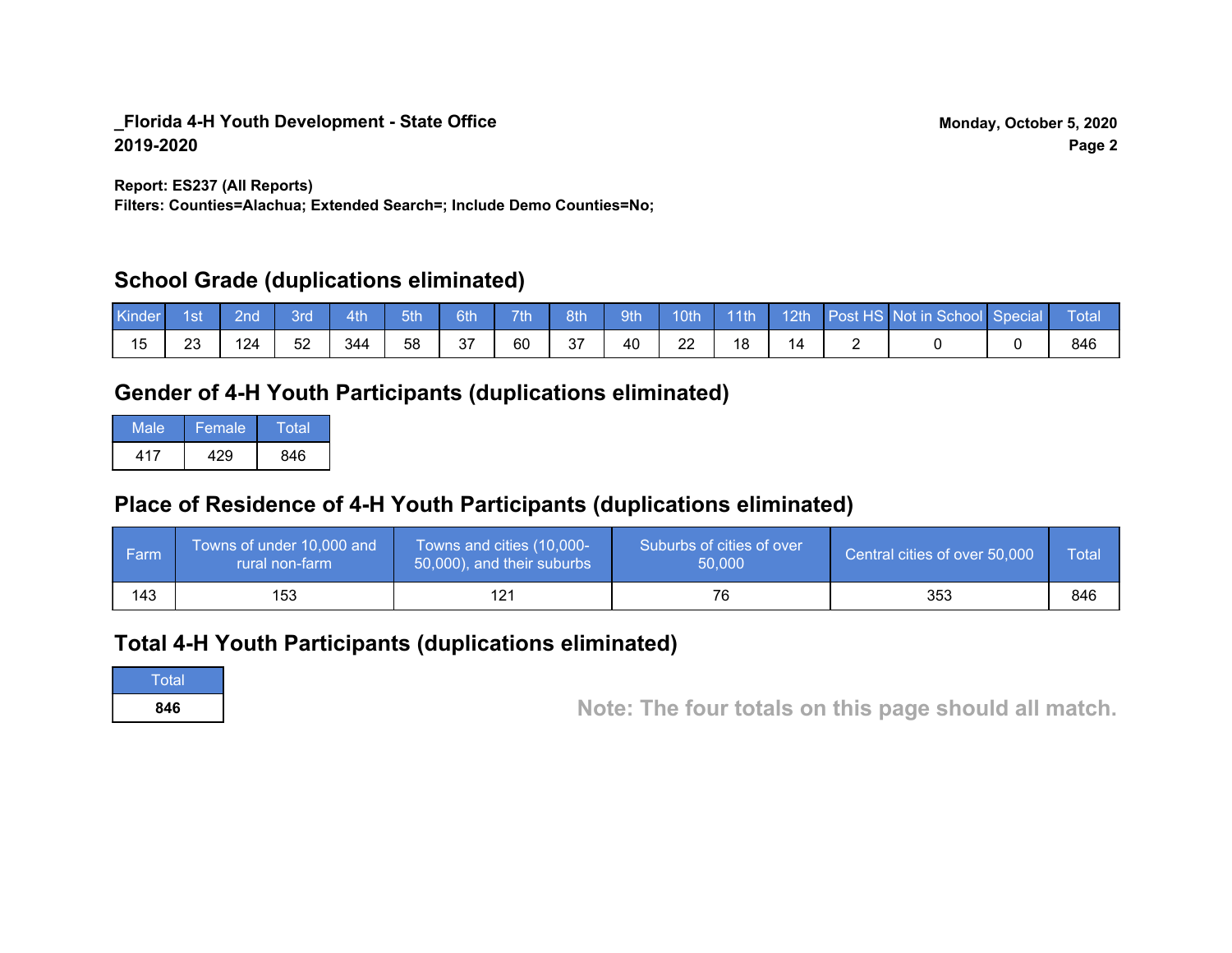**Report: ES237 (All Reports)**

**Filters: Counties=Alachua; Extended Search=; Include Demo Counties=No;**

# **School Grade (duplications eliminated)**

| Kinder | 1st | 2nd' | <b>Brd</b> | 4th | 5th | 6th | 7 <sup>th</sup> | 8th | 9th | 10 <sup>th</sup> | $\blacksquare$ 11th |                | 12th Post HS Not in School Special | Total |
|--------|-----|------|------------|-----|-----|-----|-----------------|-----|-----|------------------|---------------------|----------------|------------------------------------|-------|
|        | າາ  | 124  | 52         | 344 | 58  | 37  | 60              | 37  | 40  | ററ<br>22         | 18                  | $\overline{ }$ |                                    | 846   |

# **Gender of 4-H Youth Participants (duplications eliminated)**

| Male | Female | Total |
|------|--------|-------|
| 417  | 429    | 846   |

# **Place of Residence of 4-H Youth Participants (duplications eliminated)**

| l Farm | Towns of under 10,000 and<br>rural non-farm | Towns and cities (10,000-<br>50,000), and their suburbs | Suburbs of cities of over<br>50,000 | Central cities of over 50,000 | Total |
|--------|---------------------------------------------|---------------------------------------------------------|-------------------------------------|-------------------------------|-------|
| 143    | 153                                         |                                                         | 76                                  | 353                           | 846   |

# **Total 4-H Youth Participants (duplications eliminated)**

**Total** 

**<sup>846</sup> Note: The four totals on this page should all match.**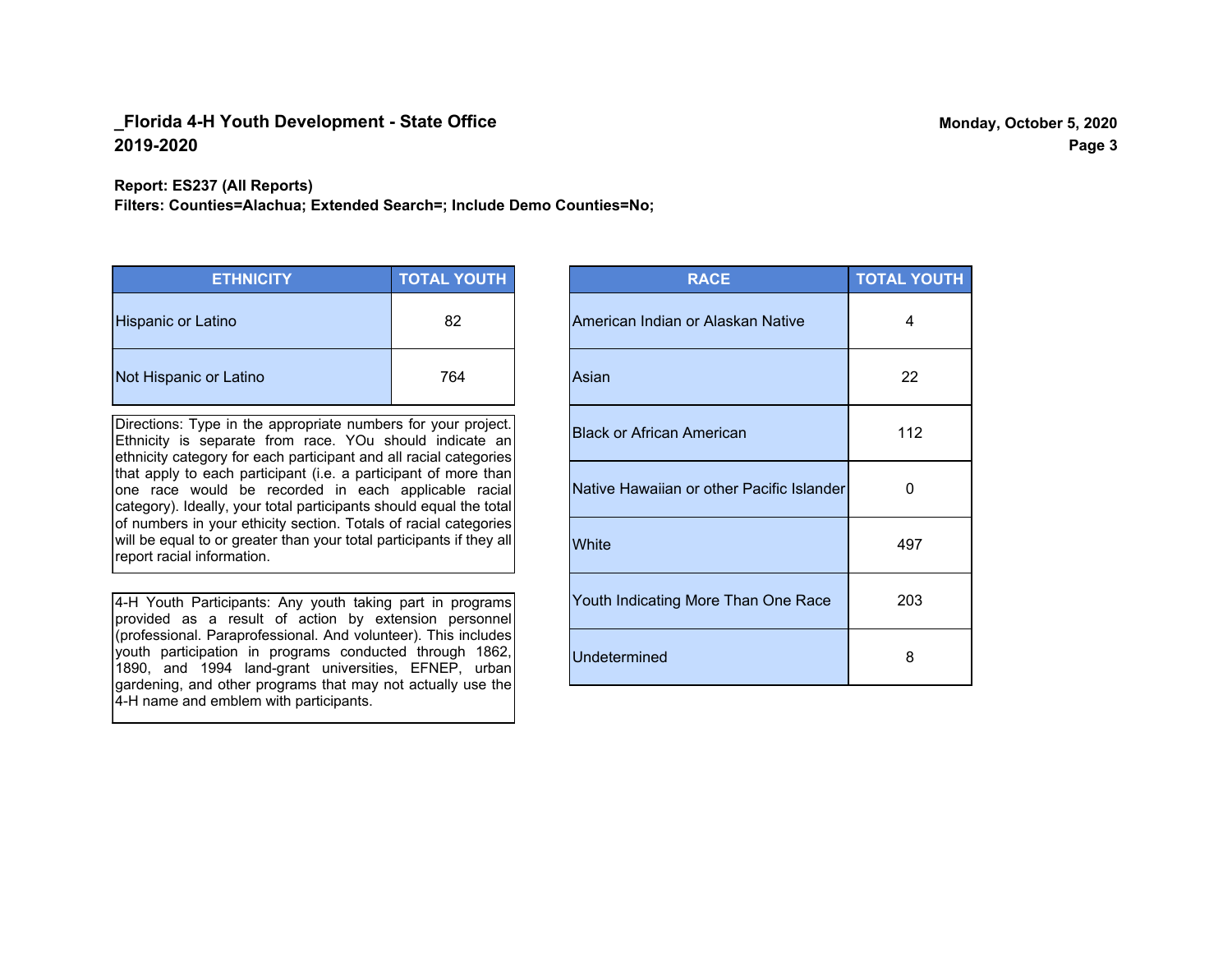#### **Report: ES237 (All Reports)**

**Filters: Counties=Alachua; Extended Search=; Include Demo Counties=No;**

| <b>ETHNICITY</b>          | <b>TOTAL YOUTH</b> |
|---------------------------|--------------------|
| <b>Hispanic or Latino</b> | 82                 |
| Not Hispanic or Latino    | 764                |

Directions: Type in the appropriate numbers for your project. Ethnicity is separate from race. YOu should indicate an ethnicity category for each participant and all racial categories that apply to each participant (i.e. a participant of more than one race would be recorded in each applicable racial category). Ideally, your total participants should equal the total of numbers in your ethicity section. Totals of racial categories will be equal to or greater than your total participants if they all report racial information.

4-H Youth Participants: Any youth taking part in programs provided as a result of action by extension personnel (professional. Paraprofessional. And volunteer). This includes youth participation in programs conducted through 1862, 1890, and 1994 land-grant universities, EFNEP, urban gardening, and other programs that may not actually use the 4-H name and emblem with participants.

| <b>RACE</b>                               | <b>TOTAL YOUTH</b> |
|-------------------------------------------|--------------------|
| American Indian or Alaskan Native         | 4                  |
| Asian                                     | 22                 |
| <b>Black or African American</b>          | 112                |
| Native Hawaiian or other Pacific Islander | O                  |
| White                                     | 497                |
| Youth Indicating More Than One Race       | 203                |
| <b>Undetermined</b>                       | 8                  |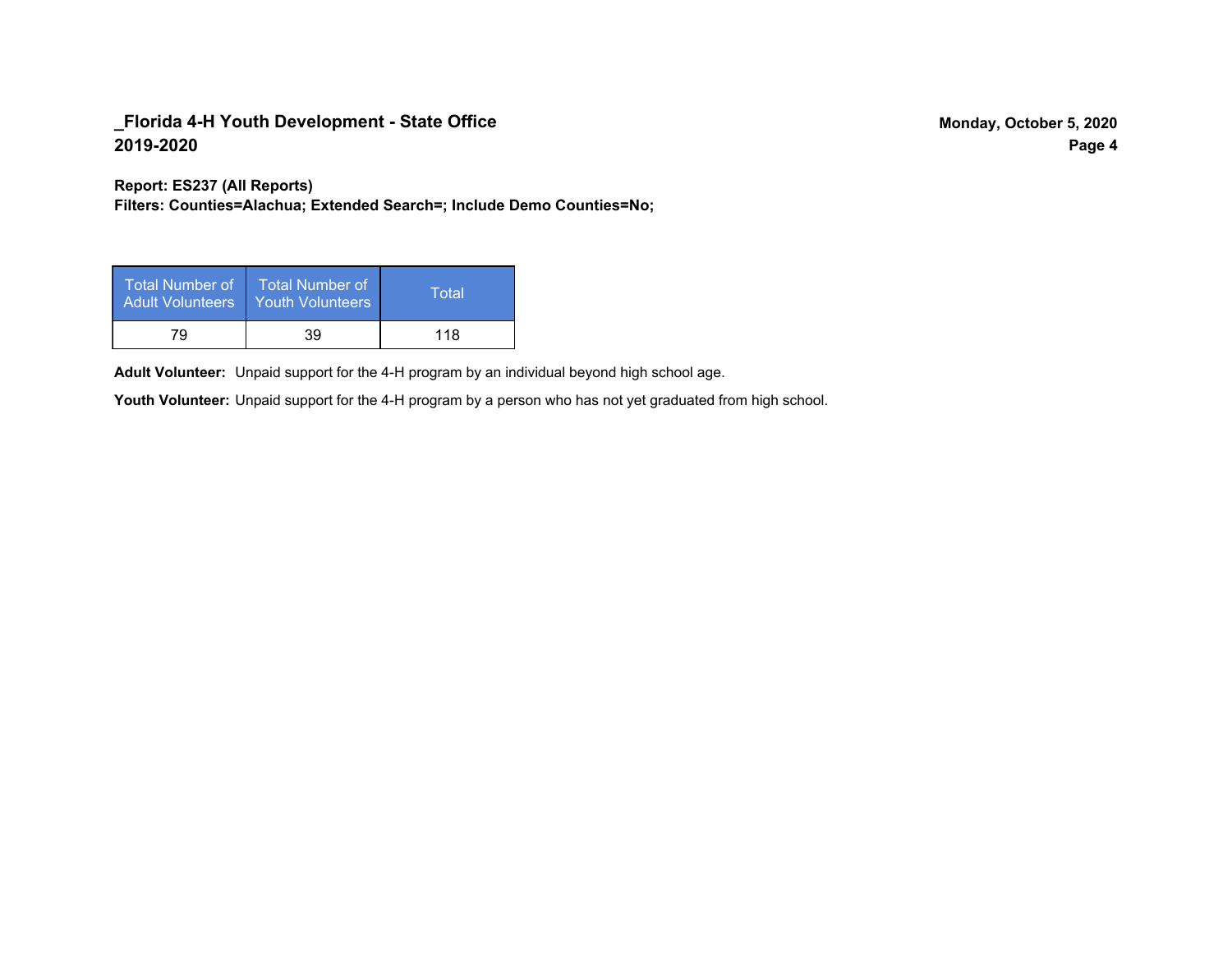**Report: ES237 (All Reports)**

**Filters: Counties=Alachua; Extended Search=; Include Demo Counties=No;**

| Total Number of<br><b>Adult Volunteers</b> | <b>Total Number of</b><br><b>Youth Volunteers</b> | Total |
|--------------------------------------------|---------------------------------------------------|-------|
| 79                                         | 39                                                | 118   |

Adult Volunteer: Unpaid support for the 4-H program by an individual beyond high school age.

Youth Volunteer: Unpaid support for the 4-H program by a person who has not yet graduated from high school.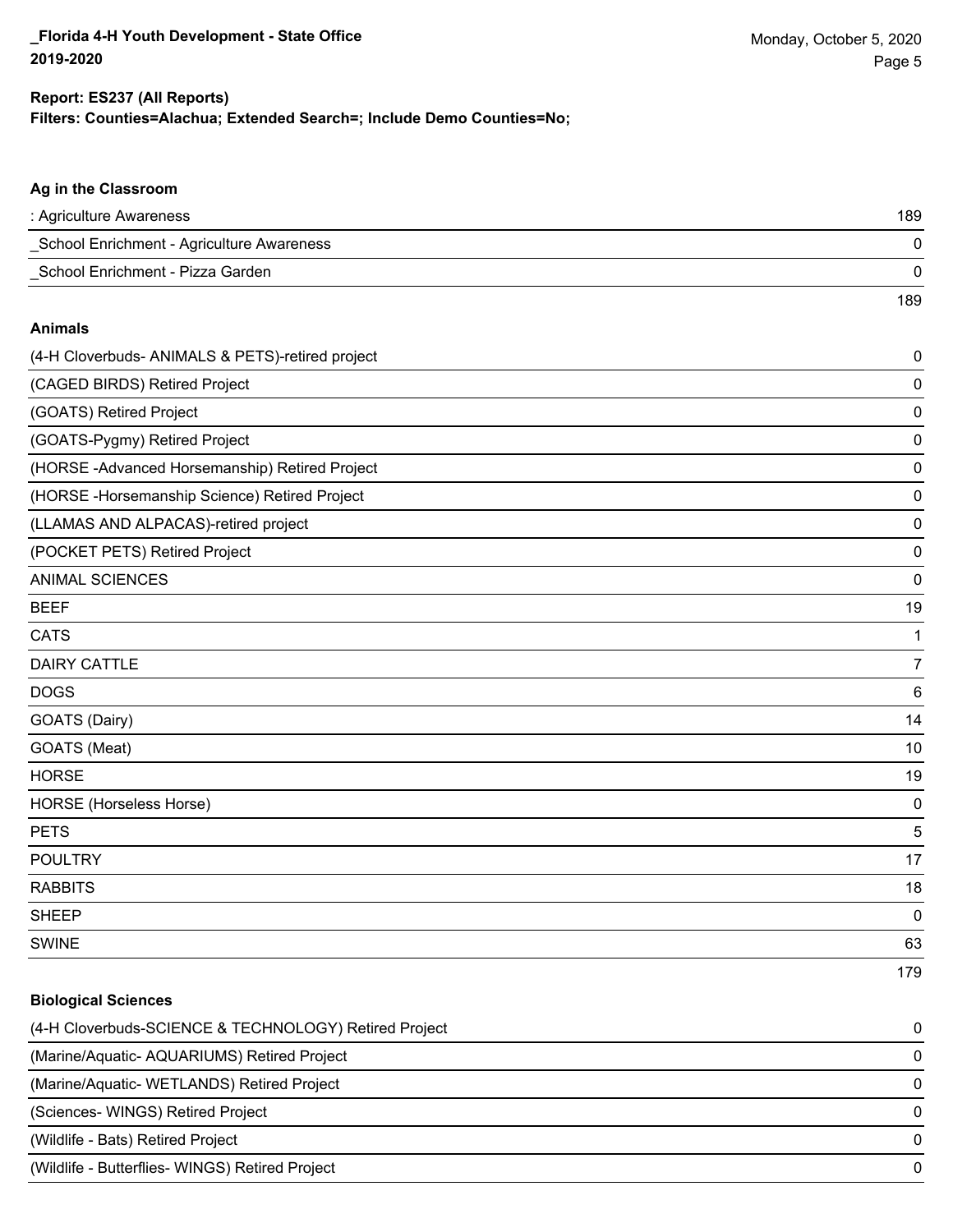## **Filters: Counties=Alachua; Extended Search=; Include Demo Counties=No; Report: ES237 (All Reports)**

| : Agriculture Awareness<br>_School Enrichment - Agriculture Awareness<br>School Enrichment - Pizza Garden<br><b>Animals</b><br>(4-H Cloverbuds- ANIMALS & PETS)-retired project | 189<br>$\mathbf 0$<br>$\mathbf 0$<br>189 |
|---------------------------------------------------------------------------------------------------------------------------------------------------------------------------------|------------------------------------------|
|                                                                                                                                                                                 |                                          |
|                                                                                                                                                                                 |                                          |
|                                                                                                                                                                                 |                                          |
|                                                                                                                                                                                 |                                          |
|                                                                                                                                                                                 |                                          |
|                                                                                                                                                                                 | $\mathbf 0$                              |
| (CAGED BIRDS) Retired Project                                                                                                                                                   | $\mathbf 0$                              |
| (GOATS) Retired Project                                                                                                                                                         | $\mathbf 0$                              |
| (GOATS-Pygmy) Retired Project                                                                                                                                                   | $\mathbf 0$                              |
| (HORSE-Advanced Horsemanship) Retired Project                                                                                                                                   | $\mathbf 0$                              |
| (HORSE - Horsemanship Science) Retired Project                                                                                                                                  | $\mathbf 0$                              |
| (LLAMAS AND ALPACAS)-retired project                                                                                                                                            | $\mathbf 0$                              |
| (POCKET PETS) Retired Project                                                                                                                                                   | $\mathbf 0$                              |
| <b>ANIMAL SCIENCES</b>                                                                                                                                                          | $\mathbf 0$                              |
| <b>BEEF</b>                                                                                                                                                                     | 19                                       |
| <b>CATS</b>                                                                                                                                                                     | 1                                        |
| <b>DAIRY CATTLE</b>                                                                                                                                                             | $\overline{7}$                           |
| <b>DOGS</b>                                                                                                                                                                     | 6                                        |
| GOATS (Dairy)                                                                                                                                                                   | 14                                       |
| GOATS (Meat)                                                                                                                                                                    | 10                                       |
| <b>HORSE</b>                                                                                                                                                                    | 19                                       |
| HORSE (Horseless Horse)                                                                                                                                                         | $\mathbf 0$                              |
| <b>PETS</b>                                                                                                                                                                     | 5                                        |
| <b>POULTRY</b>                                                                                                                                                                  | 17                                       |
| <b>RABBITS</b>                                                                                                                                                                  | 18                                       |
| <b>SHEEP</b>                                                                                                                                                                    | $\pmb{0}$                                |
| <b>SWINE</b>                                                                                                                                                                    | 63                                       |
|                                                                                                                                                                                 | 179                                      |

| <b>Biological Sciences</b>                            |          |
|-------------------------------------------------------|----------|
| (4-H Cloverbuds-SCIENCE & TECHNOLOGY) Retired Project | 0        |
| (Marine/Aquatic-AQUARIUMS) Retired Project            | 0        |
| (Marine/Aquatic- WETLANDS) Retired Project            | $\Omega$ |
| (Sciences-WINGS) Retired Project                      | $\Omega$ |
| (Wildlife - Bats) Retired Project                     | $\Omega$ |
| (Wildlife - Butterflies- WINGS) Retired Project       | $\Omega$ |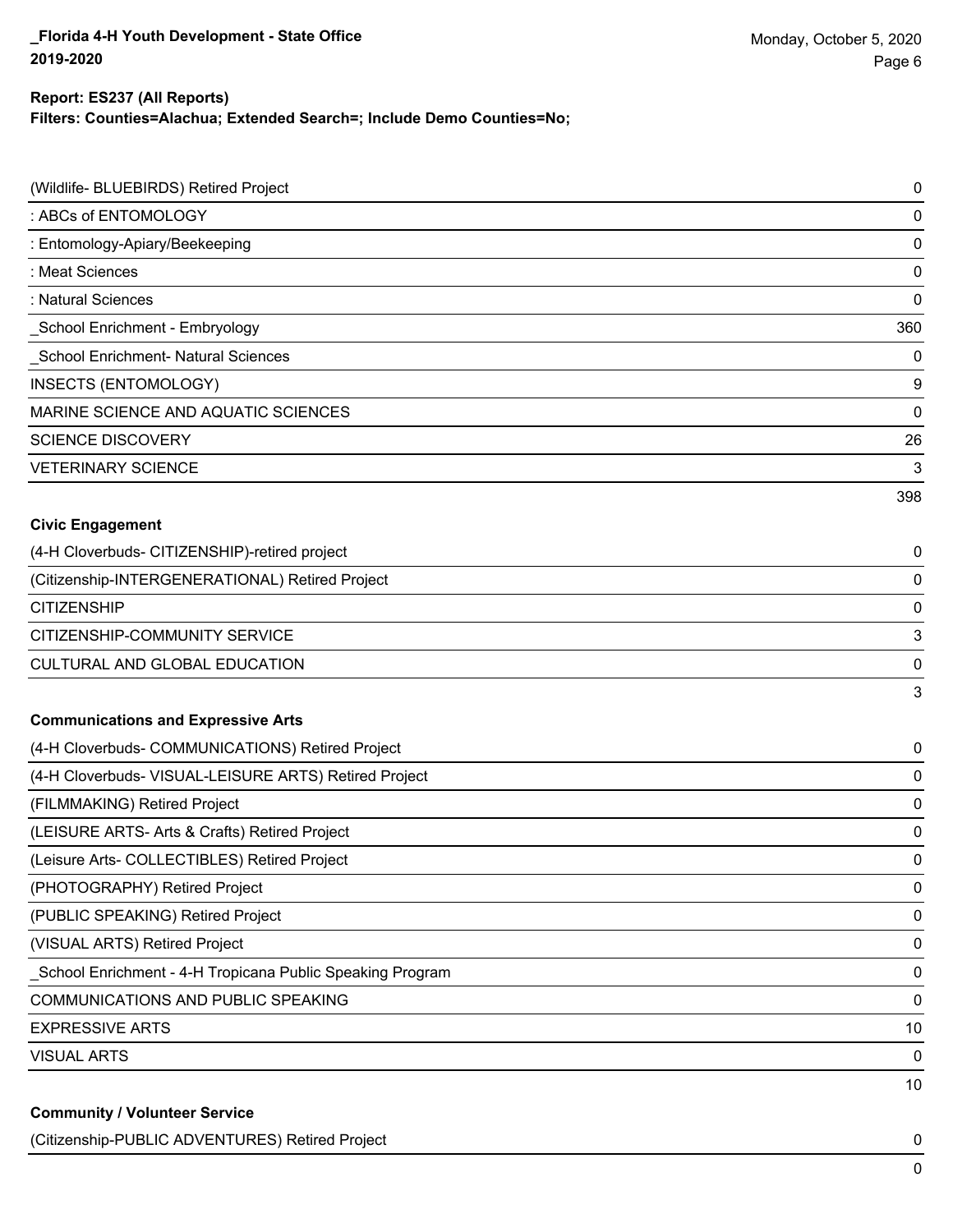### **Report: ES237 (All Reports)**

**Filters: Counties=Alachua; Extended Search=; Include Demo Counties=No;**

| (Wildlife- BLUEBIRDS) Retired Project                     | $\mathbf 0$ |
|-----------------------------------------------------------|-------------|
| : ABCs of ENTOMOLOGY                                      | $\mathbf 0$ |
| : Entomology-Apiary/Beekeeping                            | $\mathbf 0$ |
| : Meat Sciences                                           | $\mathbf 0$ |
| : Natural Sciences                                        | $\mathbf 0$ |
| School Enrichment - Embryology                            | 360         |
| School Enrichment- Natural Sciences                       | $\mathbf 0$ |
| <b>INSECTS (ENTOMOLOGY)</b>                               | 9           |
| MARINE SCIENCE AND AQUATIC SCIENCES                       | $\mathbf 0$ |
| <b>SCIENCE DISCOVERY</b>                                  | 26          |
| <b>VETERINARY SCIENCE</b>                                 | 3           |
|                                                           | 398         |
| <b>Civic Engagement</b>                                   |             |
| (4-H Cloverbuds- CITIZENSHIP)-retired project             | 0           |
| (Citizenship-INTERGENERATIONAL) Retired Project           | $\mathbf 0$ |
| <b>CITIZENSHIP</b>                                        | 0           |
| CITIZENSHIP-COMMUNITY SERVICE                             | 3           |
| CULTURAL AND GLOBAL EDUCATION                             | 0           |
|                                                           | 3           |
| <b>Communications and Expressive Arts</b>                 |             |
| (4-H Cloverbuds- COMMUNICATIONS) Retired Project          | 0           |
| (4-H Cloverbuds- VISUAL-LEISURE ARTS) Retired Project     | 0           |
| (FILMMAKING) Retired Project                              | $\mathbf 0$ |
| (LEISURE ARTS- Arts & Crafts) Retired Project             | 0           |
| (Leisure Arts- COLLECTIBLES) Retired Project              | $\mathbf 0$ |
| (PHOTOGRAPHY) Retired Project                             | 0           |
| (PUBLIC SPEAKING) Retired Project                         | 0           |
| (VISUAL ARTS) Retired Project                             | 0           |
| School Enrichment - 4-H Tropicana Public Speaking Program | $\mathbf 0$ |
| COMMUNICATIONS AND PUBLIC SPEAKING                        | 0           |
| <b>EXPRESSIVE ARTS</b>                                    | 10          |
| <b>VISUAL ARTS</b>                                        | 0           |
|                                                           | 10          |
| <b>Community / Volunteer Service</b>                      |             |

(Citizenship-PUBLIC ADVENTURES) Retired Project 0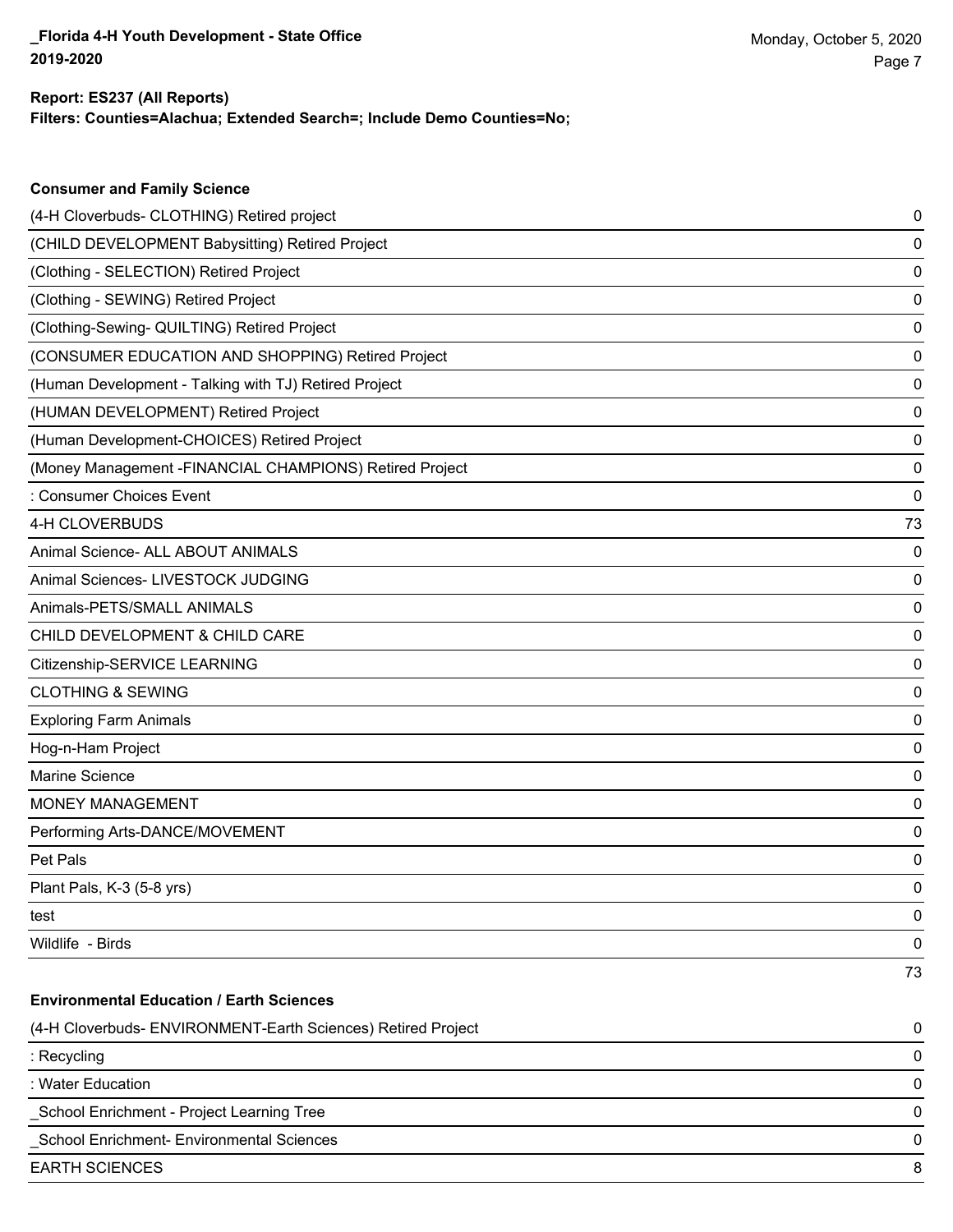**Consumer and Family Science**

## **Filters: Counties=Alachua; Extended Search=; Include Demo Counties=No; Report: ES237 (All Reports)**

| (4-H Cloverbuds- CLOTHING) Retired project                   | 0  |
|--------------------------------------------------------------|----|
| (CHILD DEVELOPMENT Babysitting) Retired Project              | 0  |
| (Clothing - SELECTION) Retired Project                       | 0  |
| (Clothing - SEWING) Retired Project                          | 0  |
| (Clothing-Sewing- QUILTING) Retired Project                  | 0  |
| (CONSUMER EDUCATION AND SHOPPING) Retired Project            | 0  |
| (Human Development - Talking with TJ) Retired Project        | 0  |
| (HUMAN DEVELOPMENT) Retired Project                          | 0  |
| (Human Development-CHOICES) Retired Project                  | 0  |
| (Money Management - FINANCIAL CHAMPIONS) Retired Project     | 0  |
| : Consumer Choices Event                                     | 0  |
| 4-H CLOVERBUDS                                               | 73 |
| Animal Science- ALL ABOUT ANIMALS                            | 0  |
| Animal Sciences- LIVESTOCK JUDGING                           | 0  |
| Animals-PETS/SMALL ANIMALS                                   | 0  |
| CHILD DEVELOPMENT & CHILD CARE                               | 0  |
| Citizenship-SERVICE LEARNING                                 | 0  |
| <b>CLOTHING &amp; SEWING</b>                                 | 0  |
| <b>Exploring Farm Animals</b>                                | 0  |
| Hog-n-Ham Project                                            | 0  |
| Marine Science                                               | 0  |
| MONEY MANAGEMENT                                             | 0  |
| Performing Arts-DANCE/MOVEMENT                               | 0  |
| Pet Pals                                                     | 0  |
| Plant Pals, K-3 (5-8 yrs)                                    | 0  |
| test                                                         | 0  |
| Wildlife - Birds                                             | 0  |
|                                                              | 73 |
| <b>Environmental Education / Earth Sciences</b>              |    |
| (4-H Cloverbuds- ENVIRONMENT-Earth Sciences) Retired Project | 0  |
| : Recycling                                                  | 0  |
| : Water Education                                            | 0  |
| School Enrichment - Project Learning Tree                    | 0  |
| School Enrichment- Environmental Sciences                    | 0  |
| <b>EARTH SCIENCES</b>                                        | 8  |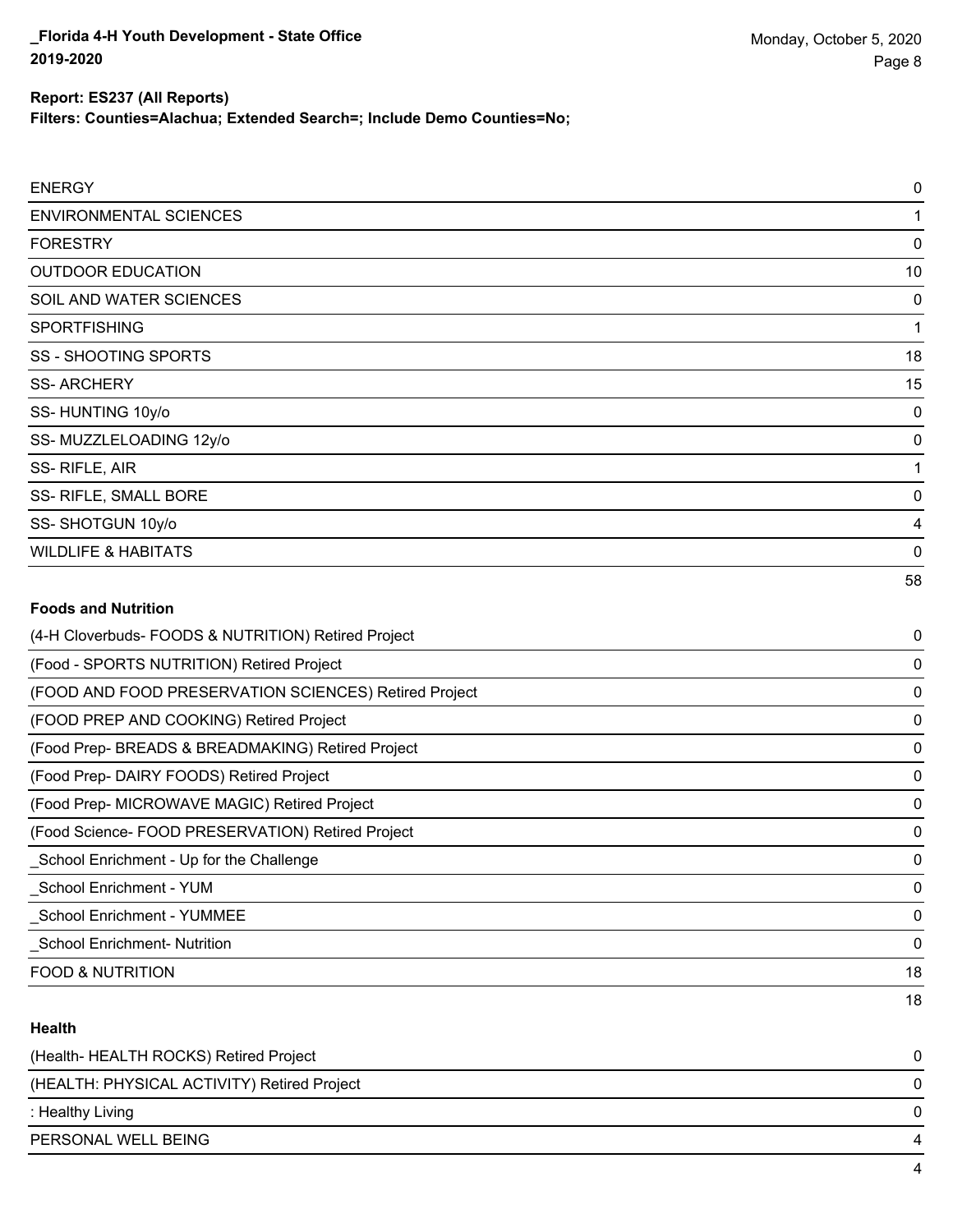#### **Report: ES237 (All Reports)**

**Filters: Counties=Alachua; Extended Search=; Include Demo Counties=No;**

| <b>ENERGY</b>                                         | 0           |
|-------------------------------------------------------|-------------|
| <b>ENVIRONMENTAL SCIENCES</b>                         | 1           |
| <b>FORESTRY</b>                                       | $\mathbf 0$ |
| <b>OUTDOOR EDUCATION</b>                              | 10          |
| SOIL AND WATER SCIENCES                               | 0           |
| <b>SPORTFISHING</b>                                   | 1           |
| <b>SS - SHOOTING SPORTS</b>                           | 18          |
| <b>SS-ARCHERY</b>                                     | 15          |
| SS-HUNTING 10y/o                                      | 0           |
| SS-MUZZLELOADING 12y/o                                | $\mathbf 0$ |
| SS-RIFLE, AIR                                         | 1           |
| SS- RIFLE, SMALL BORE                                 | $\mathbf 0$ |
| SS-SHOTGUN 10y/o                                      | 4           |
| <b>WILDLIFE &amp; HABITATS</b>                        | 0           |
|                                                       | 58          |
| <b>Foods and Nutrition</b>                            |             |
| (4-H Cloverbuds- FOODS & NUTRITION) Retired Project   | 0           |
| (Food - SPORTS NUTRITION) Retired Project             | 0           |
| (FOOD AND FOOD PRESERVATION SCIENCES) Retired Project | $\mathbf 0$ |
| (FOOD PREP AND COOKING) Retired Project               | 0           |
| (Food Prep- BREADS & BREADMAKING) Retired Project     | 0           |
| (Food Prep- DAIRY FOODS) Retired Project              | 0           |
| (Food Prep- MICROWAVE MAGIC) Retired Project          | 0           |
| (Food Science- FOOD PRESERVATION) Retired Project     | $\mathbf 0$ |
| _School Enrichment - Up for the Challenge             | 0           |
| _School Enrichment - YUM                              | 0           |

FOOD & NUTRITION 18

## **Health**

| (Health- HEALTH ROCKS) Retired Project      |   |
|---------------------------------------------|---|
| (HEALTH: PHYSICAL ACTIVITY) Retired Project |   |
| : Healthy Living                            |   |
| PERSONAL WELL BEING                         | 4 |
|                                             |   |

\_School Enrichment - YUMMEE 0 \_School Enrichment- Nutrition 0

18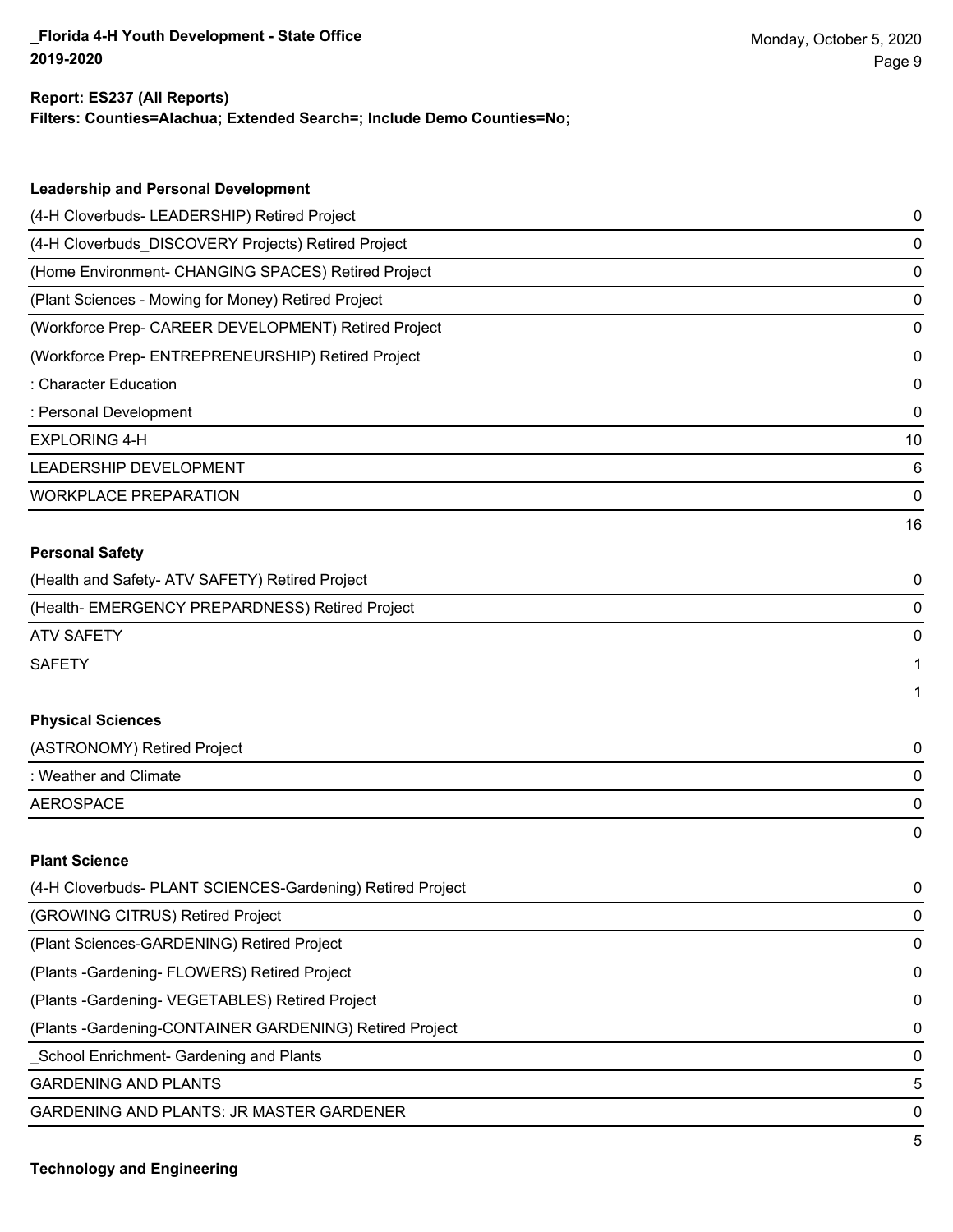#### **Report: ES237 (All Reports)**

**Filters: Counties=Alachua; Extended Search=; Include Demo Counties=No;**

| <b>Leadership and Personal Development</b>                 |    |
|------------------------------------------------------------|----|
| (4-H Cloverbuds- LEADERSHIP) Retired Project               | 0  |
| (4-H Cloverbuds_DISCOVERY Projects) Retired Project        | 0  |
| (Home Environment- CHANGING SPACES) Retired Project        | 0  |
| (Plant Sciences - Mowing for Money) Retired Project        | 0  |
| (Workforce Prep- CAREER DEVELOPMENT) Retired Project       | 0  |
| (Workforce Prep- ENTREPRENEURSHIP) Retired Project         | 0  |
| : Character Education                                      | 0  |
| : Personal Development                                     | 0  |
| <b>EXPLORING 4-H</b>                                       | 10 |
| LEADERSHIP DEVELOPMENT                                     | 6  |
| <b>WORKPLACE PREPARATION</b>                               | 0  |
|                                                            | 16 |
| <b>Personal Safety</b>                                     |    |
| (Health and Safety- ATV SAFETY) Retired Project            | 0  |
| (Health- EMERGENCY PREPARDNESS) Retired Project            | 0  |
| <b>ATV SAFETY</b>                                          | 0  |
| <b>SAFETY</b>                                              | 1  |
|                                                            | 1  |
| <b>Physical Sciences</b>                                   |    |
| (ASTRONOMY) Retired Project                                | 0  |
| : Weather and Climate                                      | 0  |
| <b>AEROSPACE</b>                                           | 0  |
|                                                            | 0  |
| <b>Plant Science</b>                                       |    |
| (4-H Cloverbuds- PLANT SCIENCES-Gardening) Retired Project | 0  |
| (GROWING CITRUS) Retired Project                           | 0  |
| (Plant Sciences-GARDENING) Retired Project                 | 0  |
| (Plants - Gardening- FLOWERS) Retired Project              | 0  |

(Plants -Gardening- VEGETABLES) Retired Project 0

(Plants -Gardening-CONTAINER GARDENING) Retired Project 0

\_School Enrichment- Gardening and Plants 0

GARDENING AND PLANTS 5

GARDENING AND PLANTS: JR MASTER GARDENER 0